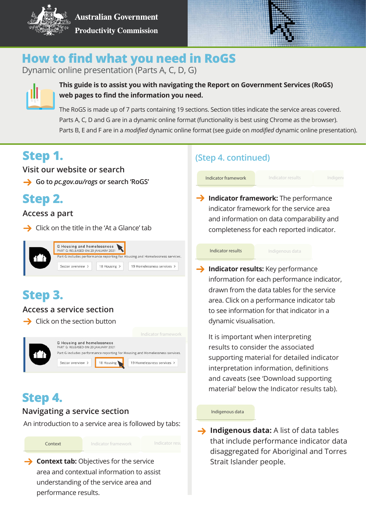

**Australian Government Productivity Commission** 



# **How to find what you need in RoGS**

Dynamic online presentation (Parts A, C, D, G)



#### **This guide is to assist you with navigating the Report on Government Services (RoGS) web pages to find the information you need.**

The RoGS is made up of 7 parts containing 19 sections. Section titles indicate the service areas covered. Parts A, C, D and G are in a dynamic online format (functionality is best using Chrome as the browser). Parts B, E and F are in a *modified* dynamic online format (see guide on *modified* dynamic online [presentation\)](https://www.pc.gov.au/research/ongoing/report-on-government-services/2022/how-to-use-RoGS-2022-modified.pdf).

**Visit our website or search**

**Go to** *pc.gov.au/rogs* **or search 'RoGS'**

# **Step 2.**

#### **Access a part**

 $\rightarrow$  Click on the title in the 'At a Glance' tab



# **Step 3.**

### **Access a service section**

 $\rightarrow$  Click on the section button



## **Step 4.**

#### **Navigating a service section**

An introduction to a service area is followed by tabs:

**→ Context tab:** Objectives for the service area and contextual information to assist understanding of the service area and performance results. Indicator framework Indicator results Context

## **Step 1. Continued**)

Indicator framework

Indicator results

**Indicator framework:** The performance indicator framework for the service area and information on data comparability and completeness for each reported indicator.

Indicator results

Indigenous data

**Indicator results:** Key performance information for each performance indicator, drawn from the data tables for the service area. Click on a performance indicator tab to see information for that indicator in a dynamic visualisation.

It is important when interpreting results to consider the associated supporting material for detailed indicator interpretation information, definitions and caveats (see 'Download supporting material' below the Indicator results tab).

#### Indigenous data

**→ Indigenous data:** A list of data tables that include performance indicator data disaggregated for Aboriginal and Torres Strait Islander people.